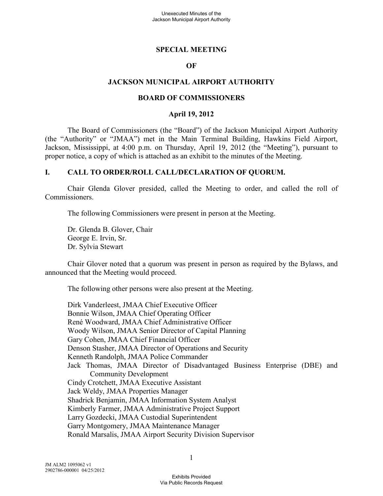#### **SPECIAL MEETING**

#### **OF**

#### **JACKSON MUNICIPAL AIRPORT AUTHORITY**

#### **BOARD OF COMMISSIONERS**

#### **April 19, 2012**

The Board of Commissioners (the "Board") of the Jackson Municipal Airport Authority (the "Authority" or "JMAA") met in the Main Terminal Building, Hawkins Field Airport, Jackson, Mississippi, at 4:00 p.m. on Thursday, April 19, 2012 (the "Meeting"), pursuant to proper notice, a copy of which is attached as an exhibit to the minutes of the Meeting.

#### **I. CALL TO ORDER/ROLL CALL/DECLARATION OF QUORUM.**

Chair Glenda Glover presided, called the Meeting to order, and called the roll of Commissioners.

The following Commissioners were present in person at the Meeting.

Dr. Glenda B. Glover, Chair George E. Irvin, Sr. Dr. Sylvia Stewart

Chair Glover noted that a quorum was present in person as required by the Bylaws, and announced that the Meeting would proceed.

The following other persons were also present at the Meeting.

Dirk Vanderleest, JMAA Chief Executive Officer Bonnie Wilson, JMAA Chief Operating Officer René Woodward, JMAA Chief Administrative Officer Woody Wilson, JMAA Senior Director of Capital Planning Gary Cohen, JMAA Chief Financial Officer Denson Stasher, JMAA Director of Operations and Security Kenneth Randolph, JMAA Police Commander Jack Thomas, JMAA Director of Disadvantaged Business Enterprise (DBE) and Community Development Cindy Crotchett, JMAA Executive Assistant Jack Weldy, JMAA Properties Manager Shadrick Benjamin, JMAA Information System Analyst Kimberly Farmer, JMAA Administrative Project Support Larry Gozdecki, JMAA Custodial Superintendent Garry Montgomery, JMAA Maintenance Manager Ronald Marsalis, JMAA Airport Security Division Supervisor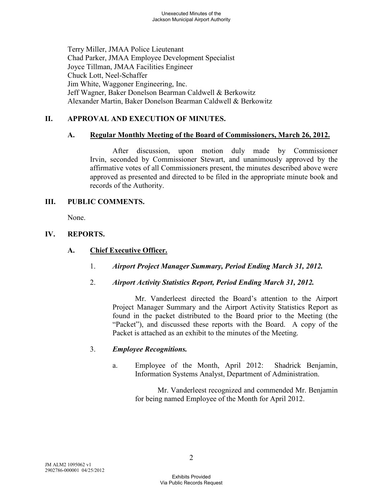Terry Miller, JMAA Police Lieutenant Chad Parker, JMAA Employee Development Specialist Joyce Tillman, JMAA Facilities Engineer Chuck Lott, Neel-Schaffer Jim White, Waggoner Engineering, Inc. Jeff Wagner, Baker Donelson Bearman Caldwell & Berkowitz Alexander Martin, Baker Donelson Bearman Caldwell & Berkowitz

# **II. APPROVAL AND EXECUTION OF MINUTES.**

## **A. Regular Monthly Meeting of the Board of Commissioners, March 26, 2012.**

After discussion, upon motion duly made by Commissioner Irvin, seconded by Commissioner Stewart, and unanimously approved by the affirmative votes of all Commissioners present, the minutes described above were approved as presented and directed to be filed in the appropriate minute book and records of the Authority.

## **III. PUBLIC COMMENTS.**

None.

## **IV. REPORTS.**

### **A. Chief Executive Officer.**

- 1. *Airport Project Manager Summary, Period Ending March 31, 2012.*
- 2. *Airport Activity Statistics Report, Period Ending March 31, 2012.*

Mr. Vanderleest directed the Board's attention to the Airport Project Manager Summary and the Airport Activity Statistics Report as found in the packet distributed to the Board prior to the Meeting (the "Packet"), and discussed these reports with the Board. A copy of the Packet is attached as an exhibit to the minutes of the Meeting.

## 3. *Employee Recognitions.*

a. Employee of the Month, April 2012: Shadrick Benjamin, Information Systems Analyst, Department of Administration.

> Mr. Vanderleest recognized and commended Mr. Benjamin for being named Employee of the Month for April 2012.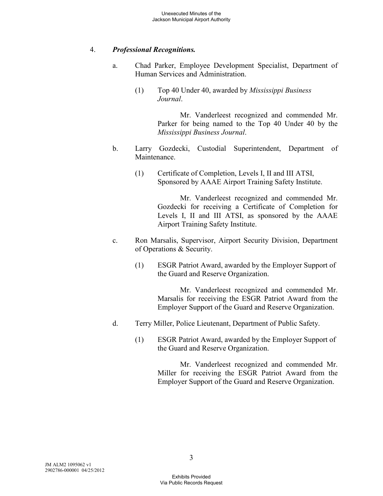## 4. *Professional Recognitions.*

- a. Chad Parker, Employee Development Specialist, Department of Human Services and Administration.
	- (1) Top 40 Under 40, awarded by *Mississippi Business Journal*.

Mr. Vanderleest recognized and commended Mr. Parker for being named to the Top 40 Under 40 by the *Mississippi Business Journal*.

- b. Larry Gozdecki, Custodial Superintendent, Department of Maintenance.
	- (1) Certificate of Completion, Levels I, II and III ATSI, Sponsored by AAAE Airport Training Safety Institute.

Mr. Vanderleest recognized and commended Mr. Gozdecki for receiving a Certificate of Completion for Levels I, II and III ATSI, as sponsored by the AAAE Airport Training Safety Institute.

- c. Ron Marsalis, Supervisor, Airport Security Division, Department of Operations & Security.
	- (1) ESGR Patriot Award, awarded by the Employer Support of the Guard and Reserve Organization.

Mr. Vanderleest recognized and commended Mr. Marsalis for receiving the ESGR Patriot Award from the Employer Support of the Guard and Reserve Organization.

- d. Terry Miller, Police Lieutenant, Department of Public Safety.
	- (1) ESGR Patriot Award, awarded by the Employer Support of the Guard and Reserve Organization.

Mr. Vanderleest recognized and commended Mr. Miller for receiving the ESGR Patriot Award from the Employer Support of the Guard and Reserve Organization.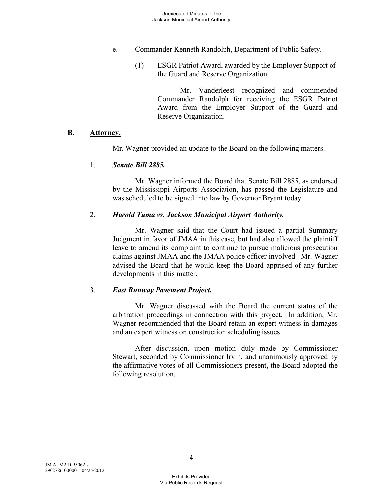- e. Commander Kenneth Randolph, Department of Public Safety.
	- (1) ESGR Patriot Award, awarded by the Employer Support of the Guard and Reserve Organization.

Mr. Vanderleest recognized and commended Commander Randolph for receiving the ESGR Patriot Award from the Employer Support of the Guard and Reserve Organization.

#### **B. Attorney.**

Mr. Wagner provided an update to the Board on the following matters.

#### 1. *Senate Bill 2885.*

Mr. Wagner informed the Board that Senate Bill 2885, as endorsed by the Mississippi Airports Association, has passed the Legislature and was scheduled to be signed into law by Governor Bryant today.

#### 2. *Harold Tuma vs. Jackson Municipal Airport Authority.*

Mr. Wagner said that the Court had issued a partial Summary Judgment in favor of JMAA in this case, but had also allowed the plaintiff leave to amend its complaint to continue to pursue malicious prosecution claims against JMAA and the JMAA police officer involved. Mr. Wagner advised the Board that he would keep the Board apprised of any further developments in this matter.

#### 3. *East Runway Pavement Project.*

Mr. Wagner discussed with the Board the current status of the arbitration proceedings in connection with this project. In addition, Mr. Wagner recommended that the Board retain an expert witness in damages and an expert witness on construction scheduling issues.

After discussion, upon motion duly made by Commissioner Stewart, seconded by Commissioner Irvin, and unanimously approved by the affirmative votes of all Commissioners present, the Board adopted the following resolution.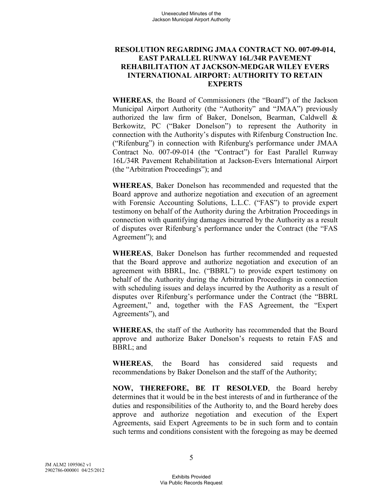### **RESOLUTION REGARDING JMAA CONTRACT NO. 007-09-014, EAST PARALLEL RUNWAY 16L/34R PAVEMENT REHABILITATION AT JACKSON-MEDGAR WILEY EVERS INTERNATIONAL AIRPORT: AUTHORITY TO RETAIN EXPERTS**

**WHEREAS**, the Board of Commissioners (the "Board") of the Jackson Municipal Airport Authority (the "Authority" and "JMAA") previously authorized the law firm of Baker, Donelson, Bearman, Caldwell & Berkowitz, PC ("Baker Donelson") to represent the Authority in connection with the Authority's disputes with Rifenburg Construction Inc. ("Rifenburg") in connection with Rifenburg's performance under JMAA Contract No. 007-09-014 (the "Contract") for East Parallel Runway 16L/34R Pavement Rehabilitation at Jackson-Evers International Airport (the "Arbitration Proceedings"); and

**WHEREAS**, Baker Donelson has recommended and requested that the Board approve and authorize negotiation and execution of an agreement with Forensic Accounting Solutions, L.L.C. ("FAS") to provide expert testimony on behalf of the Authority during the Arbitration Proceedings in connection with quantifying damages incurred by the Authority as a result of disputes over Rifenburg's performance under the Contract (the "FAS Agreement"); and

**WHEREAS**, Baker Donelson has further recommended and requested that the Board approve and authorize negotiation and execution of an agreement with BBRL, Inc. ("BBRL") to provide expert testimony on behalf of the Authority during the Arbitration Proceedings in connection with scheduling issues and delays incurred by the Authority as a result of disputes over Rifenburg's performance under the Contract (the "BBRL Agreement," and, together with the FAS Agreement, the "Expert Agreements"), and

**WHEREAS**, the staff of the Authority has recommended that the Board approve and authorize Baker Donelson's requests to retain FAS and BBRL; and

**WHEREAS**, the Board has considered said requests and recommendations by Baker Donelson and the staff of the Authority;

**NOW, THEREFORE, BE IT RESOLVED**, the Board hereby determines that it would be in the best interests of and in furtherance of the duties and responsibilities of the Authority to, and the Board hereby does approve and authorize negotiation and execution of the Expert Agreements, said Expert Agreements to be in such form and to contain such terms and conditions consistent with the foregoing as may be deemed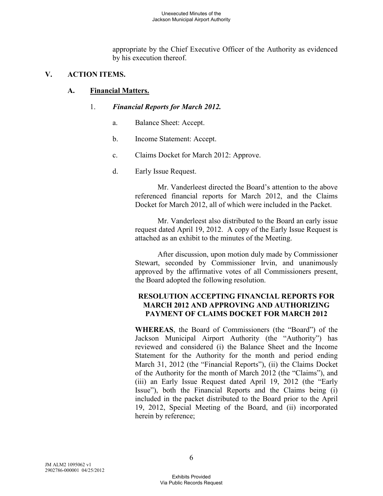appropriate by the Chief Executive Officer of the Authority as evidenced by his execution thereof.

# **V. ACTION ITEMS.**

# **A. Financial Matters.**

# 1. *Financial Reports for March 2012.*

- a. Balance Sheet: Accept.
- b. Income Statement: Accept.
- c. Claims Docket for March 2012: Approve.
- d. Early Issue Request.

Mr. Vanderleest directed the Board's attention to the above referenced financial reports for March 2012, and the Claims Docket for March 2012, all of which were included in the Packet.

Mr. Vanderleest also distributed to the Board an early issue request dated April 19, 2012. A copy of the Early Issue Request is attached as an exhibit to the minutes of the Meeting.

After discussion, upon motion duly made by Commissioner Stewart, seconded by Commissioner Irvin, and unanimously approved by the affirmative votes of all Commissioners present, the Board adopted the following resolution.

# **RESOLUTION ACCEPTING FINANCIAL REPORTS FOR MARCH 2012 AND APPROVING AND AUTHORIZING PAYMENT OF CLAIMS DOCKET FOR MARCH 2012**

**WHEREAS**, the Board of Commissioners (the "Board") of the Jackson Municipal Airport Authority (the "Authority") has reviewed and considered (i) the Balance Sheet and the Income Statement for the Authority for the month and period ending March 31, 2012 (the "Financial Reports"), (ii) the Claims Docket of the Authority for the month of March 2012 (the "Claims"), and (iii) an Early Issue Request dated April 19, 2012 (the "Early Issue"), both the Financial Reports and the Claims being (i) included in the packet distributed to the Board prior to the April 19, 2012, Special Meeting of the Board, and (ii) incorporated herein by reference;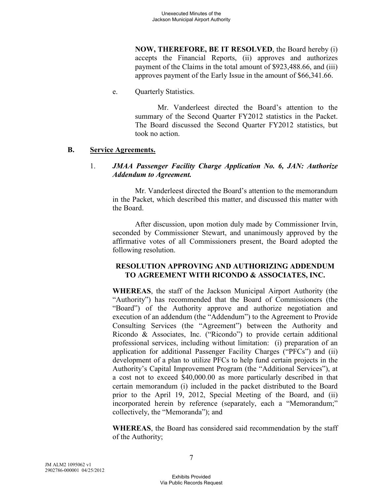**NOW, THEREFORE, BE IT RESOLVED**, the Board hereby (i) accepts the Financial Reports, (ii) approves and authorizes payment of the Claims in the total amount of \$923,488.66, and (iii) approves payment of the Early Issue in the amount of \$66,341.66.

e. Quarterly Statistics.

Mr. Vanderleest directed the Board's attention to the summary of the Second Quarter FY2012 statistics in the Packet. The Board discussed the Second Quarter FY2012 statistics, but took no action.

#### **B. Service Agreements.**

### 1. *JMAA Passenger Facility Charge Application No. 6, JAN: Authorize Addendum to Agreement.*

Mr. Vanderleest directed the Board's attention to the memorandum in the Packet, which described this matter, and discussed this matter with the Board.

After discussion, upon motion duly made by Commissioner Irvin, seconded by Commissioner Stewart, and unanimously approved by the affirmative votes of all Commissioners present, the Board adopted the following resolution.

## **RESOLUTION APPROVING AND AUTHORIZING ADDENDUM TO AGREEMENT WITH RICONDO & ASSOCIATES, INC.**

**WHEREAS**, the staff of the Jackson Municipal Airport Authority (the "Authority") has recommended that the Board of Commissioners (the "Board") of the Authority approve and authorize negotiation and execution of an addendum (the "Addendum") to the Agreement to Provide Consulting Services (the "Agreement") between the Authority and Ricondo & Associates, Inc. ("Ricondo") to provide certain additional professional services, including without limitation: (i) preparation of an application for additional Passenger Facility Charges ("PFCs") and (ii) development of a plan to utilize PFCs to help fund certain projects in the Authority's Capital Improvement Program (the "Additional Services"), at a cost not to exceed \$40,000.00 as more particularly described in that certain memorandum (i) included in the packet distributed to the Board prior to the April 19, 2012, Special Meeting of the Board, and (ii) incorporated herein by reference (separately, each a "Memorandum;" collectively, the "Memoranda"); and

**WHEREAS**, the Board has considered said recommendation by the staff of the Authority;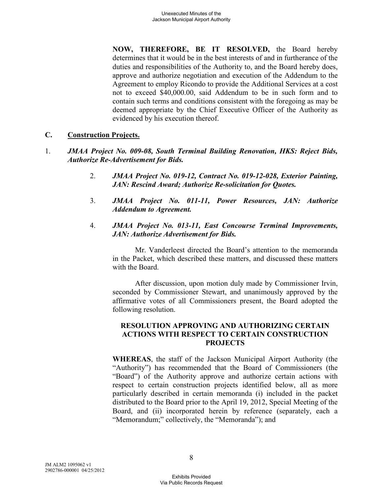**NOW, THEREFORE, BE IT RESOLVED,** the Board hereby determines that it would be in the best interests of and in furtherance of the duties and responsibilities of the Authority to, and the Board hereby does, approve and authorize negotiation and execution of the Addendum to the Agreement to employ Ricondo to provide the Additional Services at a cost not to exceed \$40,000.00, said Addendum to be in such form and to contain such terms and conditions consistent with the foregoing as may be deemed appropriate by the Chief Executive Officer of the Authority as evidenced by his execution thereof.

### **C. Construction Projects.**

- 1. *JMAA Project No. 009-08, South Terminal Building Renovation, HKS: Reject Bids, Authorize Re-Advertisement for Bids.* 
	- 2. *JMAA Project No. 019-12, Contract No. 019-12-028, Exterior Painting, JAN: Rescind Award; Authorize Re-solicitation for Quotes.*
	- 3. *JMAA Project No. 011-11, Power Resources, JAN: Authorize Addendum to Agreement.*
	- 4. *JMAA Project No. 013-11, East Concourse Terminal Improvements, JAN: Authorize Advertisement for Bids.*

Mr. Vanderleest directed the Board's attention to the memoranda in the Packet, which described these matters, and discussed these matters with the Board.

After discussion, upon motion duly made by Commissioner Irvin, seconded by Commissioner Stewart, and unanimously approved by the affirmative votes of all Commissioners present, the Board adopted the following resolution.

### **RESOLUTION APPROVING AND AUTHORIZING CERTAIN ACTIONS WITH RESPECT TO CERTAIN CONSTRUCTION PROJECTS**

**WHEREAS**, the staff of the Jackson Municipal Airport Authority (the "Authority") has recommended that the Board of Commissioners (the "Board") of the Authority approve and authorize certain actions with respect to certain construction projects identified below, all as more particularly described in certain memoranda (i) included in the packet distributed to the Board prior to the April 19, 2012, Special Meeting of the Board, and (ii) incorporated herein by reference (separately, each a "Memorandum;" collectively, the "Memoranda"); and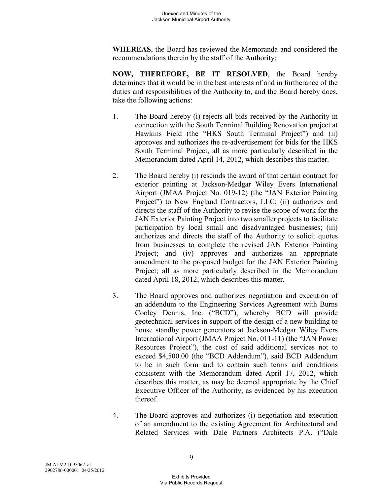**WHEREAS**, the Board has reviewed the Memoranda and considered the recommendations therein by the staff of the Authority;

**NOW, THEREFORE, BE IT RESOLVED**, the Board hereby determines that it would be in the best interests of and in furtherance of the duties and responsibilities of the Authority to, and the Board hereby does, take the following actions:

- 1. The Board hereby (i) rejects all bids received by the Authority in connection with the South Terminal Building Renovation project at Hawkins Field (the "HKS South Terminal Project") and (ii) approves and authorizes the re-advertisement for bids for the HKS South Terminal Project, all as more particularly described in the Memorandum dated April 14, 2012, which describes this matter.
- 2. The Board hereby (i) rescinds the award of that certain contract for exterior painting at Jackson-Medgar Wiley Evers International Airport (JMAA Project No. 019-12) (the "JAN Exterior Painting Project") to New England Contractors, LLC; (ii) authorizes and directs the staff of the Authority to revise the scope of work for the JAN Exterior Painting Project into two smaller projects to facilitate participation by local small and disadvantaged businesses; (iii) authorizes and directs the staff of the Authority to solicit quotes from businesses to complete the revised JAN Exterior Painting Project; and (iv) approves and authorizes an appropriate amendment to the proposed budget for the JAN Exterior Painting Project; all as more particularly described in the Memorandum dated April 18, 2012, which describes this matter.
- 3. The Board approves and authorizes negotiation and execution of an addendum to the Engineering Services Agreement with Burns Cooley Dennis, Inc. ("BCD"), whereby BCD will provide geotechnical services in support of the design of a new building to house standby power generators at Jackson-Medgar Wiley Evers International Airport (JMAA Project No. 011-11) (the "JAN Power Resources Project"), the cost of said additional services not to exceed \$4,500.00 (the "BCD Addendum"), said BCD Addendum to be in such form and to contain such terms and conditions consistent with the Memorandum dated April 17, 2012, which describes this matter, as may be deemed appropriate by the Chief Executive Officer of the Authority, as evidenced by his execution thereof.
- 4. The Board approves and authorizes (i) negotiation and execution of an amendment to the existing Agreement for Architectural and Related Services with Dale Partners Architects P.A. ("Dale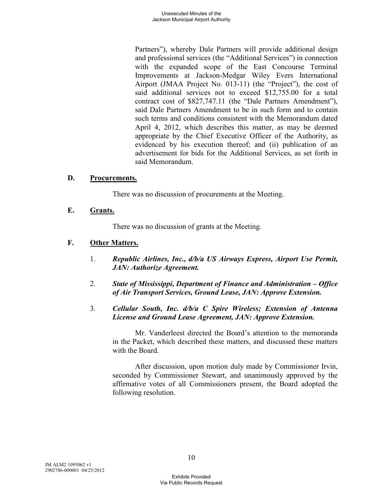Partners"), whereby Dale Partners will provide additional design and professional services (the "Additional Services") in connection with the expanded scope of the East Concourse Terminal Improvements at Jackson-Medgar Wiley Evers International Airport (JMAA Project No. 013-11) (the "Project"), the cost of said additional services not to exceed \$12,755.00 for a total contract cost of \$827,747.11 (the "Dale Partners Amendment"), said Dale Partners Amendment to be in such form and to contain such terms and conditions consistent with the Memorandum dated April 4, 2012, which describes this matter, as may be deemed appropriate by the Chief Executive Officer of the Authority, as evidenced by his execution thereof; and (ii) publication of an advertisement for bids for the Additional Services, as set forth in said Memorandum.

#### **D. Procurements.**

There was no discussion of procurements at the Meeting.

### **E. Grants.**

There was no discussion of grants at the Meeting.

## **F. Other Matters.**

- 1. *Republic Airlines, Inc., d/b/a US Airways Express, Airport Use Permit, JAN: Authorize Agreement.*
- 2. *State of Mississippi, Department of Finance and Administration Office of Air Transport Services, Ground Lease, JAN: Approve Extension.*
- 3. *Cellular South, Inc. d/b/a C Spire Wireless; Extension of Antenna License and Ground Lease Agreement, JAN: Approve Extension.*

Mr. Vanderleest directed the Board's attention to the memoranda in the Packet, which described these matters, and discussed these matters with the Board.

After discussion, upon motion duly made by Commissioner Irvin, seconded by Commissioner Stewart, and unanimously approved by the affirmative votes of all Commissioners present, the Board adopted the following resolution.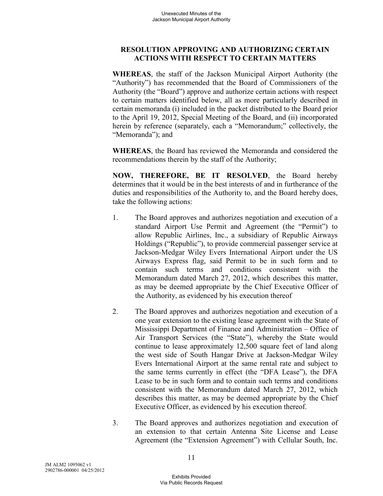## **RESOLUTION APPROVING AND AUTHORIZING CERTAIN ACTIONS WITH RESPECT TO CERTAIN MATTERS**

**WHEREAS**, the staff of the Jackson Municipal Airport Authority (the "Authority") has recommended that the Board of Commissioners of the Authority (the "Board") approve and authorize certain actions with respect to certain matters identified below, all as more particularly described in certain memoranda (i) included in the packet distributed to the Board prior to the April 19, 2012, Special Meeting of the Board, and (ii) incorporated herein by reference (separately, each a "Memorandum;" collectively, the "Memoranda"); and

**WHEREAS**, the Board has reviewed the Memoranda and considered the recommendations therein by the staff of the Authority;

**NOW, THEREFORE, BE IT RESOLVED**, the Board hereby determines that it would be in the best interests of and in furtherance of the duties and responsibilities of the Authority to, and the Board hereby does, take the following actions:

- 1. The Board approves and authorizes negotiation and execution of a standard Airport Use Permit and Agreement (the "Permit") to allow Republic Airlines, Inc., a subsidiary of Republic Airways Holdings ("Republic"), to provide commercial passenger service at Jackson-Medgar Wiley Evers International Airport under the US Airways Express flag, said Permit to be in such form and to contain such terms and conditions consistent with the Memorandum dated March 27, 2012, which describes this matter, as may be deemed appropriate by the Chief Executive Officer of the Authority, as evidenced by his execution thereof
- 2. The Board approves and authorizes negotiation and execution of a one year extension to the existing lease agreement with the State of Mississippi Department of Finance and Administration – Office of Air Transport Services (the "State"), whereby the State would continue to lease approximately 12,500 square feet of land along the west side of South Hangar Drive at Jackson-Medgar Wiley Evers International Airport at the same rental rate and subject to the same terms currently in effect (the "DFA Lease"), the DFA Lease to be in such form and to contain such terms and conditions consistent with the Memorandum dated March 27, 2012, which describes this matter, as may be deemed appropriate by the Chief Executive Officer, as evidenced by his execution thereof.
- 3. The Board approves and authorizes negotiation and execution of an extension to that certain Antenna Site License and Lease Agreement (the "Extension Agreement") with Cellular South, Inc.